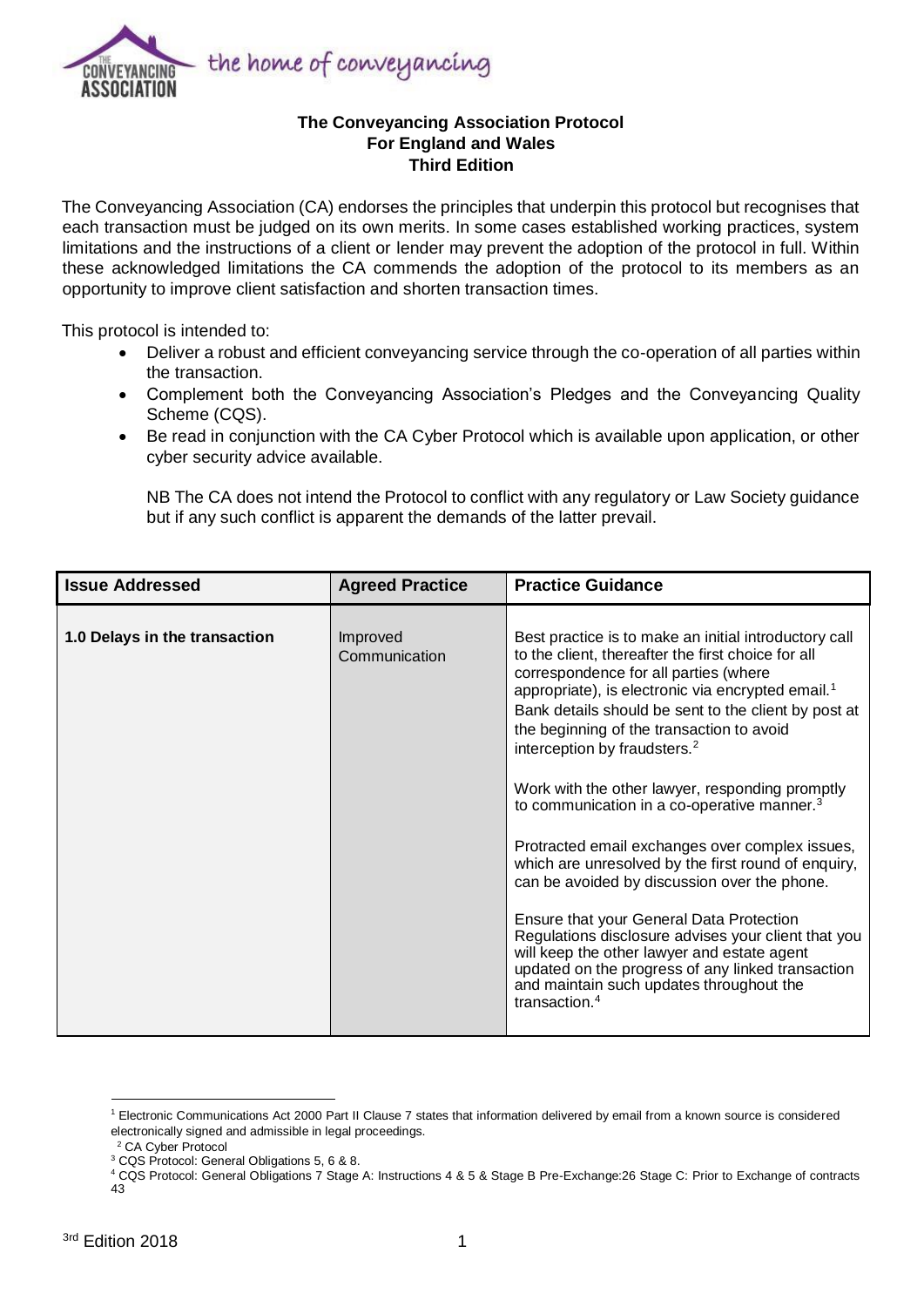

## **The Conveyancing Association Protocol For England and Wales Third Edition**

The Conveyancing Association (CA) endorses the principles that underpin this protocol but recognises that each transaction must be judged on its own merits. In some cases established working practices, system limitations and the instructions of a client or lender may prevent the adoption of the protocol in full. Within these acknowledged limitations the CA commends the adoption of the protocol to its members as an opportunity to improve client satisfaction and shorten transaction times.

This protocol is intended to:

- Deliver a robust and efficient conveyancing service through the co-operation of all parties within the transaction.
- Complement both the Conveyancing Association's Pledges and the Conveyancing Quality Scheme (CQS).
- Be read in conjunction with the CA Cyber Protocol which is available upon application, or other cyber security advice available.

NB The CA does not intend the Protocol to conflict with any regulatory or Law Society guidance but if any such conflict is apparent the demands of the latter prevail.

| <b>Issue Addressed</b>        | <b>Agreed Practice</b>    | <b>Practice Guidance</b>                                                                                                                                                                                                                                                                                                                                                                                                                                                                                                                                                                                                                                                                                                                                                                                                                                                                                                       |
|-------------------------------|---------------------------|--------------------------------------------------------------------------------------------------------------------------------------------------------------------------------------------------------------------------------------------------------------------------------------------------------------------------------------------------------------------------------------------------------------------------------------------------------------------------------------------------------------------------------------------------------------------------------------------------------------------------------------------------------------------------------------------------------------------------------------------------------------------------------------------------------------------------------------------------------------------------------------------------------------------------------|
| 1.0 Delays in the transaction | Improved<br>Communication | Best practice is to make an initial introductory call<br>to the client, thereafter the first choice for all<br>correspondence for all parties (where<br>appropriate), is electronic via encrypted email. <sup>1</sup><br>Bank details should be sent to the client by post at<br>the beginning of the transaction to avoid<br>interception by fraudsters. <sup>2</sup><br>Work with the other lawyer, responding promptly<br>to communication in a co-operative manner. <sup>3</sup><br>Protracted email exchanges over complex issues,<br>which are unresolved by the first round of enquiry,<br>can be avoided by discussion over the phone.<br>Ensure that your General Data Protection<br>Regulations disclosure advises your client that you<br>will keep the other lawyer and estate agent<br>updated on the progress of any linked transaction<br>and maintain such updates throughout the<br>transaction. <sup>4</sup> |

<sup>1</sup> Electronic Communications Act 2000 Part II Clause 7 states that information delivered by email from a known source is considered electronically signed and admissible in legal proceedings.

<sup>2</sup> CA Cyber Protocol

<sup>&</sup>lt;sup>3</sup> CQS Protocol: General Obligations 5, 6 & 8.

<sup>4</sup> CQS Protocol: General Obligations 7 Stage A: Instructions 4 & 5 & Stage B Pre-Exchange:26 Stage C: Prior to Exchange of contracts 43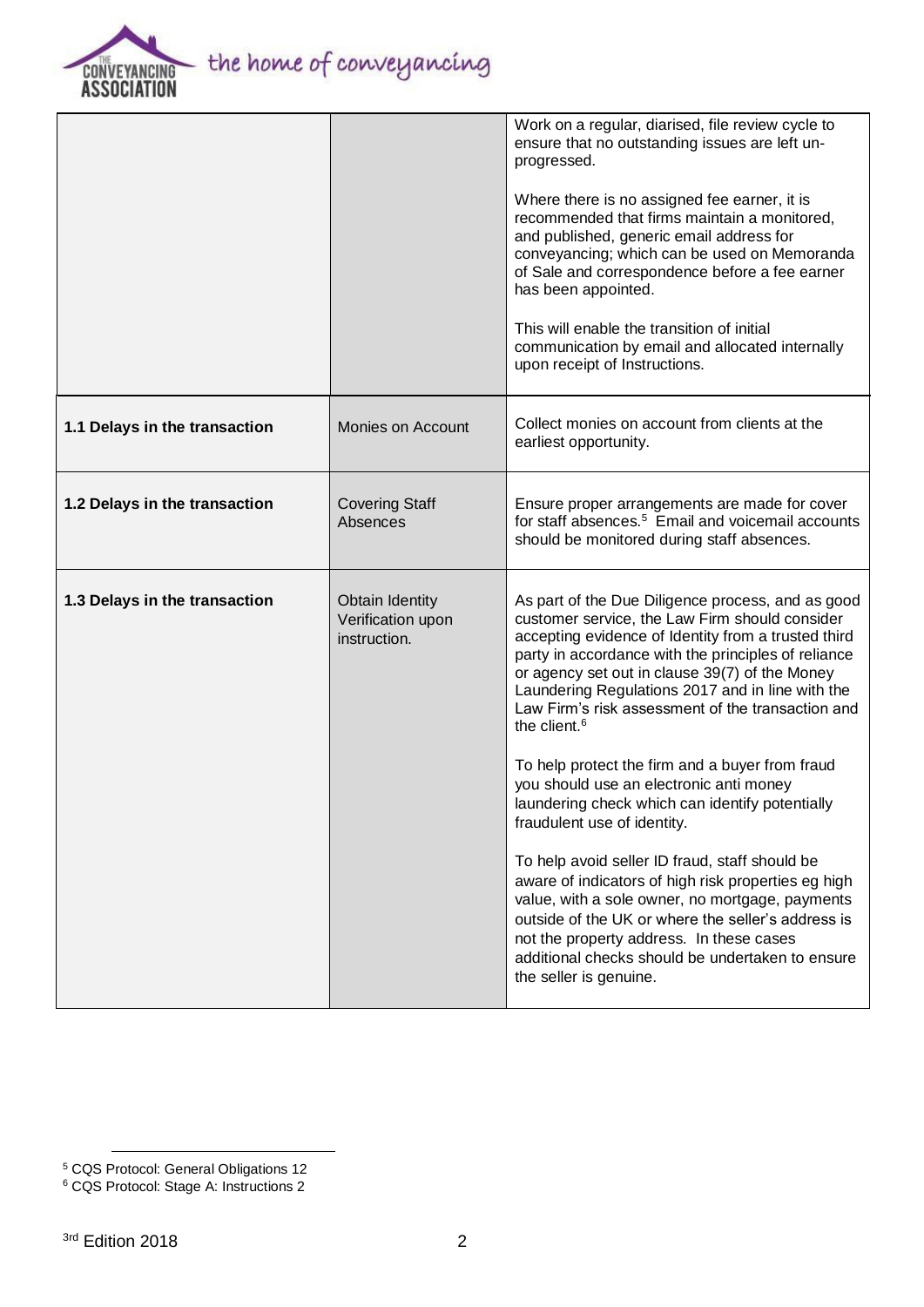

|                               |                                                             | Work on a regular, diarised, file review cycle to<br>ensure that no outstanding issues are left un-<br>progressed.<br>Where there is no assigned fee earner, it is<br>recommended that firms maintain a monitored,<br>and published, generic email address for<br>conveyancing; which can be used on Memoranda<br>of Sale and correspondence before a fee earner<br>has been appointed.<br>This will enable the transition of initial<br>communication by email and allocated internally<br>upon receipt of Instructions. |
|-------------------------------|-------------------------------------------------------------|---------------------------------------------------------------------------------------------------------------------------------------------------------------------------------------------------------------------------------------------------------------------------------------------------------------------------------------------------------------------------------------------------------------------------------------------------------------------------------------------------------------------------|
| 1.1 Delays in the transaction | Monies on Account                                           | Collect monies on account from clients at the<br>earliest opportunity.                                                                                                                                                                                                                                                                                                                                                                                                                                                    |
| 1.2 Delays in the transaction | <b>Covering Staff</b><br>Absences                           | Ensure proper arrangements are made for cover<br>for staff absences. <sup>5</sup> Email and voicemail accounts<br>should be monitored during staff absences.                                                                                                                                                                                                                                                                                                                                                              |
| 1.3 Delays in the transaction | <b>Obtain Identity</b><br>Verification upon<br>instruction. | As part of the Due Diligence process, and as good<br>customer service, the Law Firm should consider<br>accepting evidence of Identity from a trusted third<br>party in accordance with the principles of reliance<br>or agency set out in clause 39(7) of the Money<br>Laundering Regulations 2017 and in line with the<br>Law Firm's risk assessment of the transaction and<br>the client. <sup>6</sup><br>To help protect the firm and a buyer from fraud<br>you should use an electronic anti money                    |
|                               |                                                             | laundering check which can identify potentially<br>fraudulent use of identity.<br>To help avoid seller ID fraud, staff should be<br>aware of indicators of high risk properties eg high<br>value, with a sole owner, no mortgage, payments<br>outside of the UK or where the seller's address is<br>not the property address. In these cases<br>additional checks should be undertaken to ensure<br>the seller is genuine.                                                                                                |

<sup>5</sup> CQS Protocol: General Obligations 12

<sup>6</sup> CQS Protocol: Stage A: Instructions 2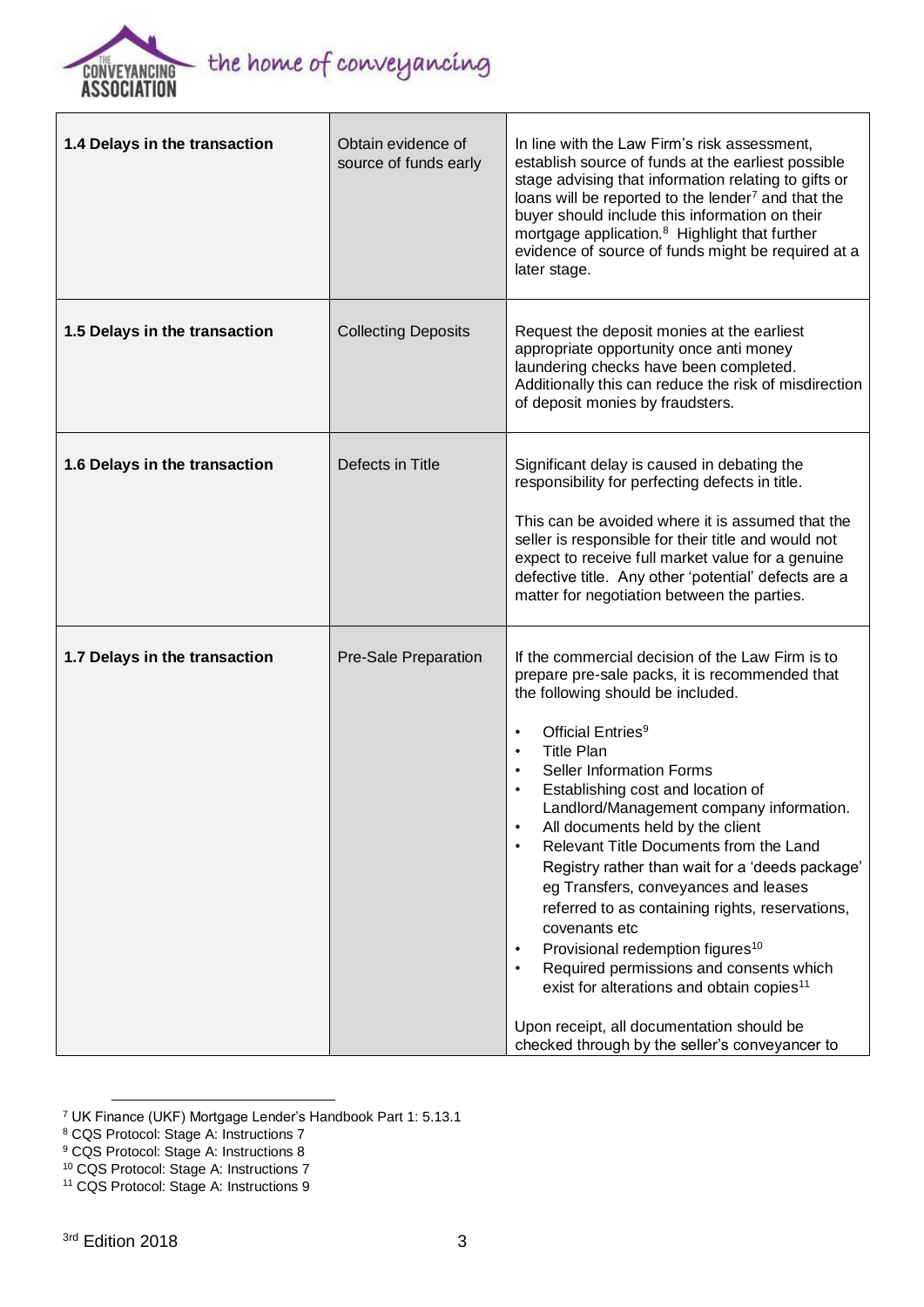

r

| 1.4 Delays in the transaction | Obtain evidence of<br>source of funds early | In line with the Law Firm's risk assessment,<br>establish source of funds at the earliest possible<br>stage advising that information relating to gifts or<br>loans will be reported to the lender <sup>7</sup> and that the<br>buyer should include this information on their<br>mortgage application. <sup>8</sup> Highlight that further<br>evidence of source of funds might be required at a<br>later stage.                                                                                                                                                                                                                                                                                                                                                                                                                                                                                            |
|-------------------------------|---------------------------------------------|--------------------------------------------------------------------------------------------------------------------------------------------------------------------------------------------------------------------------------------------------------------------------------------------------------------------------------------------------------------------------------------------------------------------------------------------------------------------------------------------------------------------------------------------------------------------------------------------------------------------------------------------------------------------------------------------------------------------------------------------------------------------------------------------------------------------------------------------------------------------------------------------------------------|
| 1.5 Delays in the transaction | <b>Collecting Deposits</b>                  | Request the deposit monies at the earliest<br>appropriate opportunity once anti money<br>laundering checks have been completed.<br>Additionally this can reduce the risk of misdirection<br>of deposit monies by fraudsters.                                                                                                                                                                                                                                                                                                                                                                                                                                                                                                                                                                                                                                                                                 |
| 1.6 Delays in the transaction | Defects in Title                            | Significant delay is caused in debating the<br>responsibility for perfecting defects in title.<br>This can be avoided where it is assumed that the<br>seller is responsible for their title and would not<br>expect to receive full market value for a genuine<br>defective title. Any other 'potential' defects are a<br>matter for negotiation between the parties.                                                                                                                                                                                                                                                                                                                                                                                                                                                                                                                                        |
| 1.7 Delays in the transaction | Pre-Sale Preparation                        | If the commercial decision of the Law Firm is to<br>prepare pre-sale packs, it is recommended that<br>the following should be included.<br>Official Entries <sup>9</sup><br>$\bullet$<br><b>Title Plan</b><br>$\bullet$<br><b>Seller Information Forms</b><br>$\bullet$<br>Establishing cost and location of<br>$\bullet$<br>Landlord/Management company information.<br>All documents held by the client<br>Relevant Title Documents from the Land<br>$\bullet$<br>Registry rather than wait for a 'deeds package'<br>eg Transfers, conveyances and leases<br>referred to as containing rights, reservations,<br>covenants etc<br>Provisional redemption figures <sup>10</sup><br>$\bullet$<br>Required permissions and consents which<br>$\bullet$<br>exist for alterations and obtain copies <sup>11</sup><br>Upon receipt, all documentation should be<br>checked through by the seller's conveyancer to |

<sup>7</sup> UK Finance (UKF) Mortgage Lender's Handbook Part 1: 5.13.1

<sup>8</sup> CQS Protocol: Stage A: Instructions 7

<sup>9</sup> CQS Protocol: Stage A: Instructions 8

 $\overline{a}$ 

<sup>10</sup> CQS Protocol: Stage A: Instructions 7

<sup>11</sup> CQS Protocol: Stage A: Instructions 9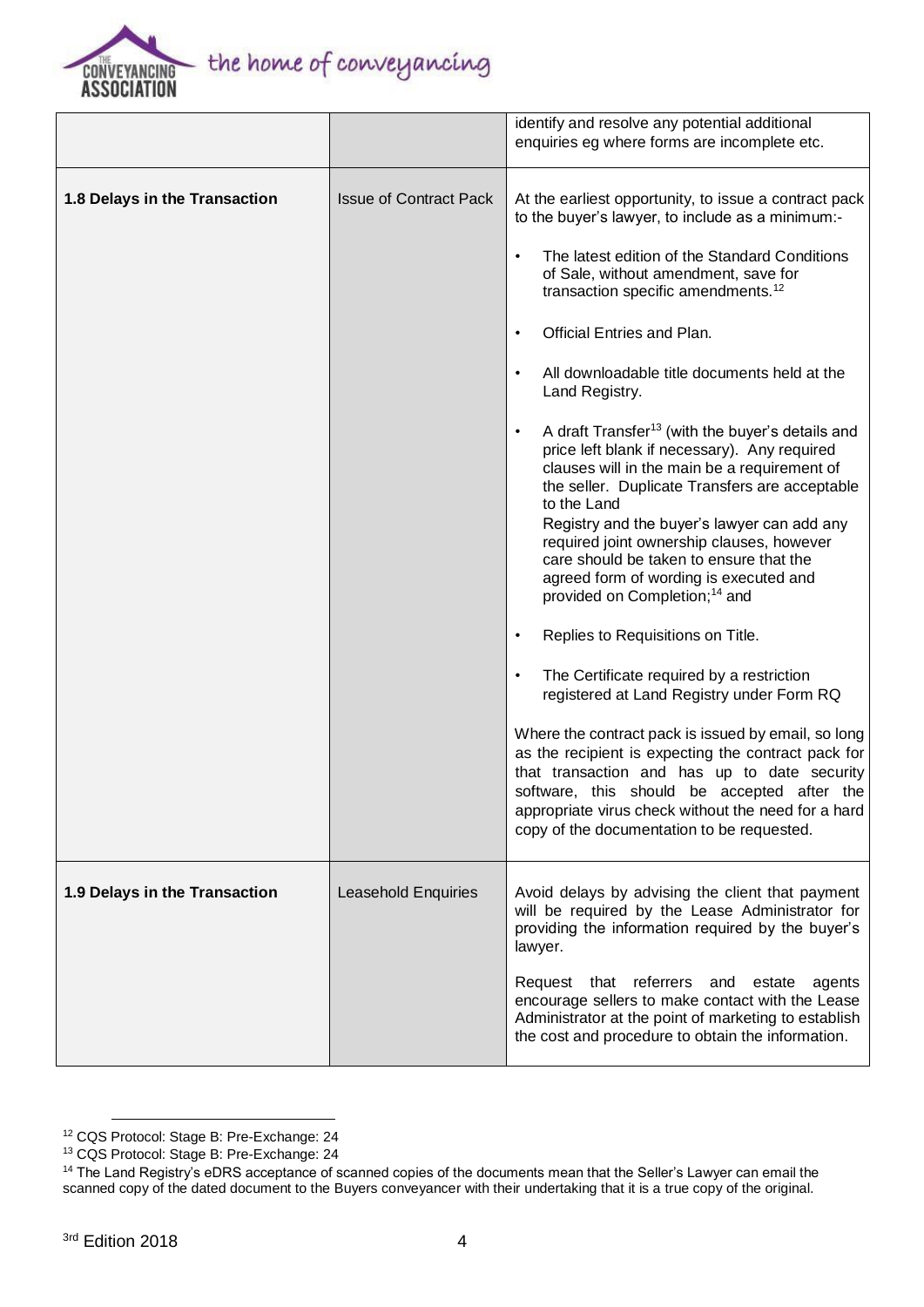

|                               |                               | identify and resolve any potential additional                                                                                                                                                                                                                                                                                                                                                                                                                                                                                                                                                                                                                                                                                                                                                                                                                                                                                                                                                                                                                                                                                                                                                                                                                                                        |
|-------------------------------|-------------------------------|------------------------------------------------------------------------------------------------------------------------------------------------------------------------------------------------------------------------------------------------------------------------------------------------------------------------------------------------------------------------------------------------------------------------------------------------------------------------------------------------------------------------------------------------------------------------------------------------------------------------------------------------------------------------------------------------------------------------------------------------------------------------------------------------------------------------------------------------------------------------------------------------------------------------------------------------------------------------------------------------------------------------------------------------------------------------------------------------------------------------------------------------------------------------------------------------------------------------------------------------------------------------------------------------------|
|                               |                               | enquiries eg where forms are incomplete etc.                                                                                                                                                                                                                                                                                                                                                                                                                                                                                                                                                                                                                                                                                                                                                                                                                                                                                                                                                                                                                                                                                                                                                                                                                                                         |
| 1.8 Delays in the Transaction | <b>Issue of Contract Pack</b> | At the earliest opportunity, to issue a contract pack<br>to the buyer's lawyer, to include as a minimum:-<br>The latest edition of the Standard Conditions<br>$\bullet$<br>of Sale, without amendment, save for<br>transaction specific amendments. <sup>12</sup><br>Official Entries and Plan.<br>$\bullet$<br>All downloadable title documents held at the<br>$\bullet$<br>Land Registry.<br>A draft Transfer <sup>13</sup> (with the buyer's details and<br>$\bullet$<br>price left blank if necessary). Any required<br>clauses will in the main be a requirement of<br>the seller. Duplicate Transfers are acceptable<br>to the Land<br>Registry and the buyer's lawyer can add any<br>required joint ownership clauses, however<br>care should be taken to ensure that the<br>agreed form of wording is executed and<br>provided on Completion; <sup>14</sup> and<br>Replies to Requisitions on Title.<br>$\bullet$<br>The Certificate required by a restriction<br>$\bullet$<br>registered at Land Registry under Form RQ<br>Where the contract pack is issued by email, so long<br>as the recipient is expecting the contract pack for<br>that transaction and has up to date security<br>software, this should be accepted after the<br>appropriate virus check without the need for a hard |
|                               |                               | copy of the documentation to be requested.                                                                                                                                                                                                                                                                                                                                                                                                                                                                                                                                                                                                                                                                                                                                                                                                                                                                                                                                                                                                                                                                                                                                                                                                                                                           |
| 1.9 Delays in the Transaction | Leasehold Enquiries           | Avoid delays by advising the client that payment<br>will be required by the Lease Administrator for<br>providing the information required by the buyer's<br>lawyer.<br>Request that referrers and estate<br>agents                                                                                                                                                                                                                                                                                                                                                                                                                                                                                                                                                                                                                                                                                                                                                                                                                                                                                                                                                                                                                                                                                   |
|                               |                               | encourage sellers to make contact with the Lease<br>Administrator at the point of marketing to establish<br>the cost and procedure to obtain the information.                                                                                                                                                                                                                                                                                                                                                                                                                                                                                                                                                                                                                                                                                                                                                                                                                                                                                                                                                                                                                                                                                                                                        |

<sup>12</sup> CQS Protocol: Stage B: Pre-Exchange: 24

<sup>13</sup> CQS Protocol: Stage B: Pre-Exchange: 24

<sup>&</sup>lt;sup>14</sup> The Land Registry's eDRS acceptance of scanned copies of the documents mean that the Seller's Lawyer can email the scanned copy of the dated document to the Buyers conveyancer with their undertaking that it is a true copy of the original.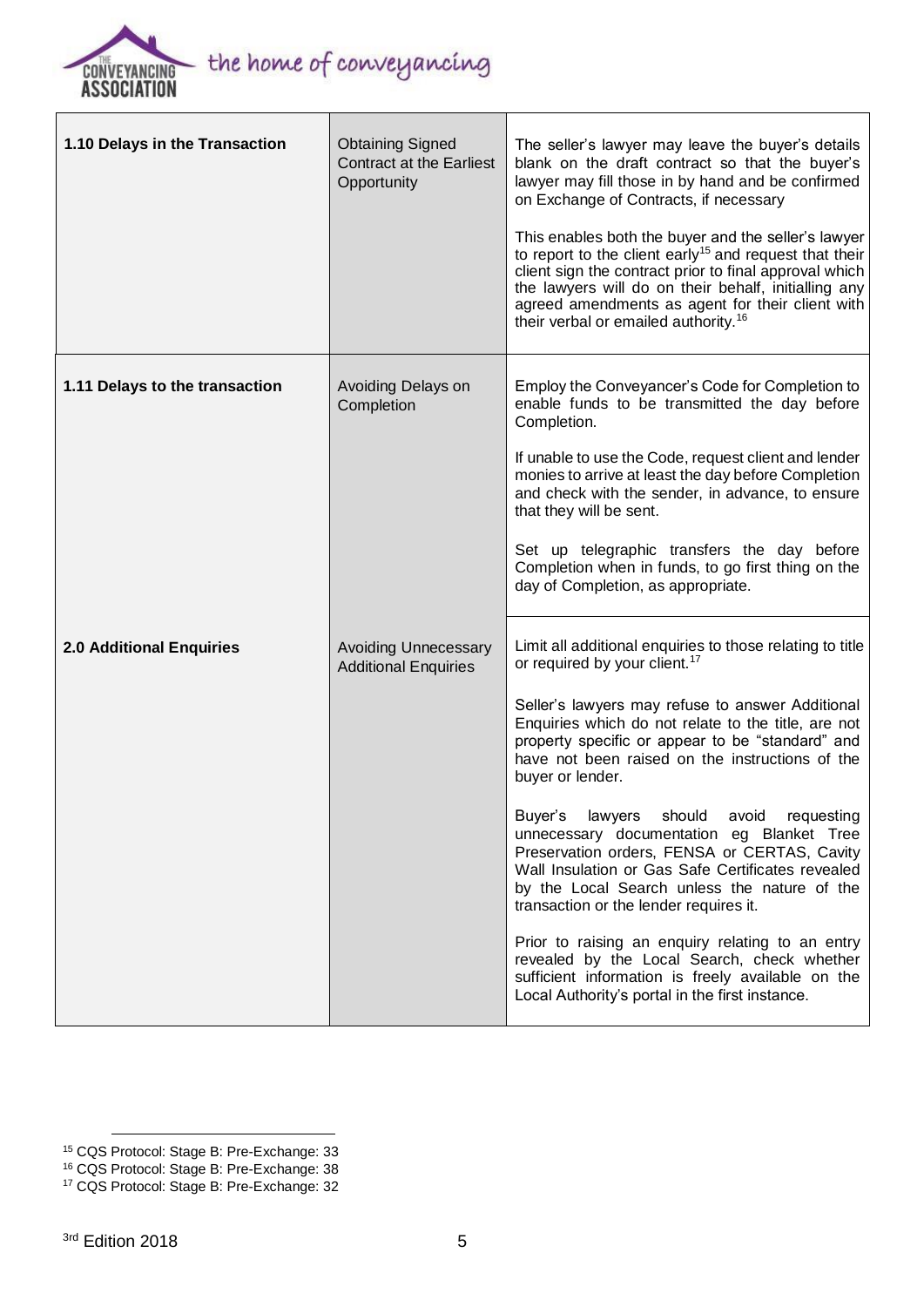

| 1.10 Delays in the Transaction  | <b>Obtaining Signed</b><br><b>Contract at the Earliest</b><br>Opportunity | The seller's lawyer may leave the buyer's details<br>blank on the draft contract so that the buyer's<br>lawyer may fill those in by hand and be confirmed<br>on Exchange of Contracts, if necessary<br>This enables both the buyer and the seller's lawyer<br>to report to the client early <sup>15</sup> and request that their<br>client sign the contract prior to final approval which<br>the lawyers will do on their behalf, initialling any<br>agreed amendments as agent for their client with<br>their verbal or emailed authority. <sup>16</sup>                                                                                                                                                                                                                                                                                     |
|---------------------------------|---------------------------------------------------------------------------|------------------------------------------------------------------------------------------------------------------------------------------------------------------------------------------------------------------------------------------------------------------------------------------------------------------------------------------------------------------------------------------------------------------------------------------------------------------------------------------------------------------------------------------------------------------------------------------------------------------------------------------------------------------------------------------------------------------------------------------------------------------------------------------------------------------------------------------------|
| 1.11 Delays to the transaction  | Avoiding Delays on<br>Completion                                          | Employ the Conveyancer's Code for Completion to<br>enable funds to be transmitted the day before<br>Completion.<br>If unable to use the Code, request client and lender<br>monies to arrive at least the day before Completion<br>and check with the sender, in advance, to ensure<br>that they will be sent.<br>Set up telegraphic transfers the day before<br>Completion when in funds, to go first thing on the<br>day of Completion, as appropriate.                                                                                                                                                                                                                                                                                                                                                                                       |
| <b>2.0 Additional Enquiries</b> | <b>Avoiding Unnecessary</b><br><b>Additional Enquiries</b>                | Limit all additional enquiries to those relating to title<br>or required by your client. <sup>17</sup><br>Seller's lawyers may refuse to answer Additional<br>Enquiries which do not relate to the title, are not<br>property specific or appear to be "standard" and<br>have not been raised on the instructions of the<br>buyer or lender.<br>Buyer's lawyers should avoid requesting<br>unnecessary documentation eg Blanket Tree<br>Preservation orders, FENSA or CERTAS, Cavity<br>Wall Insulation or Gas Safe Certificates revealed<br>by the Local Search unless the nature of the<br>transaction or the lender requires it.<br>Prior to raising an enquiry relating to an entry<br>revealed by the Local Search, check whether<br>sufficient information is freely available on the<br>Local Authority's portal in the first instance. |

<sup>-</sup><sup>15</sup> CQS Protocol: Stage B: Pre-Exchange: 33

<sup>16</sup> CQS Protocol: Stage B: Pre-Exchange: 38

<sup>17</sup> CQS Protocol: Stage B: Pre-Exchange: 32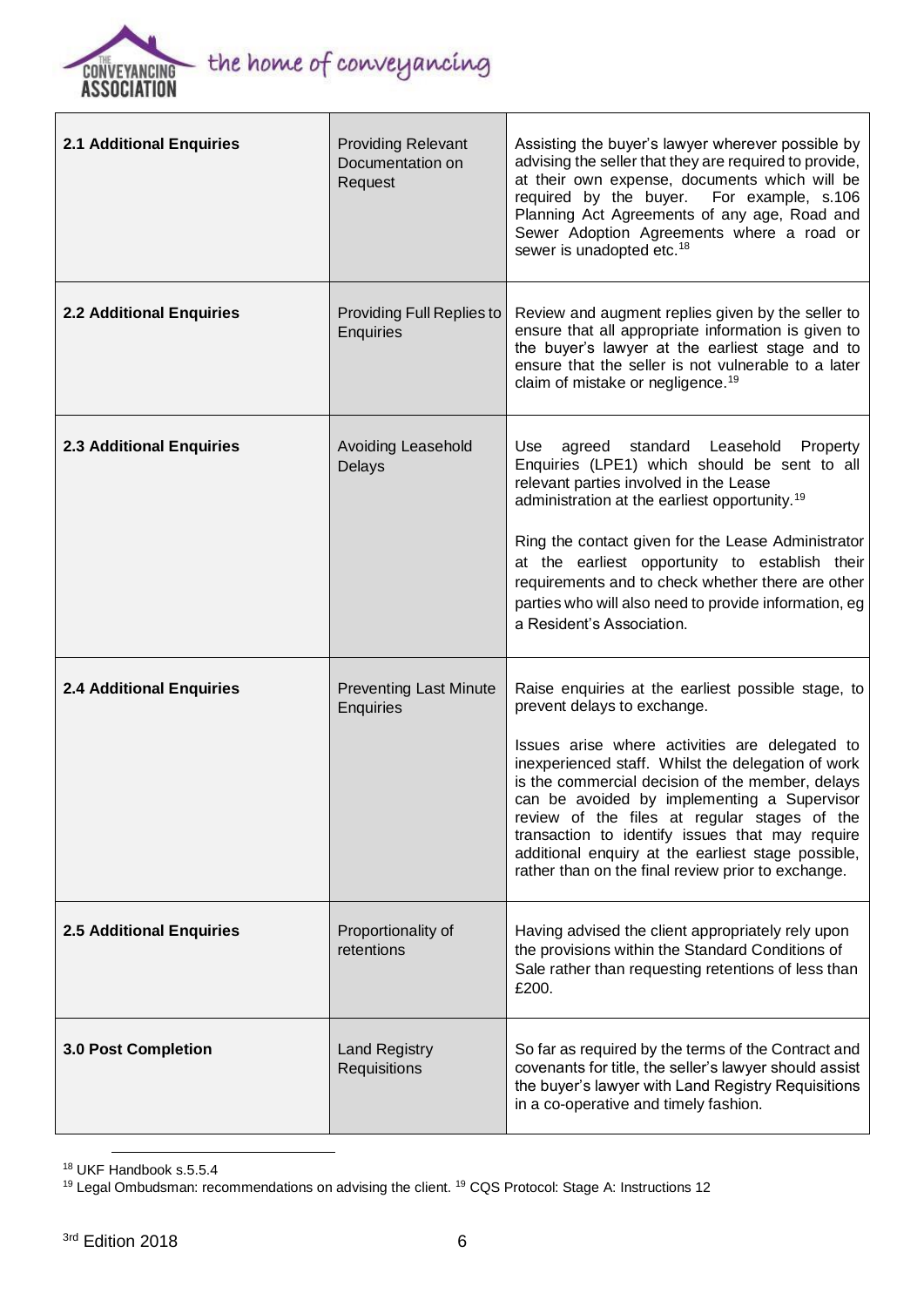

| <b>2.1 Additional Enquiries</b> | <b>Providing Relevant</b><br>Documentation on<br>Request | Assisting the buyer's lawyer wherever possible by<br>advising the seller that they are required to provide,<br>at their own expense, documents which will be<br>required by the buyer. For example, s.106<br>Planning Act Agreements of any age, Road and<br>Sewer Adoption Agreements where a road or<br>sewer is unadopted etc. <sup>18</sup>                                                                                                                                                             |
|---------------------------------|----------------------------------------------------------|-------------------------------------------------------------------------------------------------------------------------------------------------------------------------------------------------------------------------------------------------------------------------------------------------------------------------------------------------------------------------------------------------------------------------------------------------------------------------------------------------------------|
| <b>2.2 Additional Enquiries</b> | <b>Providing Full Replies to</b><br>Enquiries            | Review and augment replies given by the seller to<br>ensure that all appropriate information is given to<br>the buyer's lawyer at the earliest stage and to<br>ensure that the seller is not vulnerable to a later<br>claim of mistake or negligence. <sup>19</sup>                                                                                                                                                                                                                                         |
| <b>2.3 Additional Enquiries</b> | Avoiding Leasehold<br>Delays                             | Use<br>agreed standard Leasehold Property<br>Enquiries (LPE1) which should be sent to all<br>relevant parties involved in the Lease<br>administration at the earliest opportunity. <sup>19</sup><br>Ring the contact given for the Lease Administrator<br>at the earliest opportunity to establish their<br>requirements and to check whether there are other<br>parties who will also need to provide information, eg<br>a Resident's Association.                                                         |
| <b>2.4 Additional Enquiries</b> | <b>Preventing Last Minute</b><br>Enquiries               | Raise enquiries at the earliest possible stage, to<br>prevent delays to exchange.<br>Issues arise where activities are delegated to<br>inexperienced staff. Whilst the delegation of work<br>is the commercial decision of the member, delays<br>can be avoided by implementing a Supervisor<br>review of the files at regular stages of the<br>transaction to identify issues that may require<br>additional enquiry at the earliest stage possible,<br>rather than on the final review prior to exchange. |
| <b>2.5 Additional Enquiries</b> | Proportionality of<br>retentions                         | Having advised the client appropriately rely upon<br>the provisions within the Standard Conditions of<br>Sale rather than requesting retentions of less than<br>£200.                                                                                                                                                                                                                                                                                                                                       |
| <b>3.0 Post Completion</b>      | <b>Land Registry</b><br>Requisitions                     | So far as required by the terms of the Contract and<br>covenants for title, the seller's lawyer should assist<br>the buyer's lawyer with Land Registry Requisitions<br>in a co-operative and timely fashion.                                                                                                                                                                                                                                                                                                |

<sup>18</sup> UKF Handbook s.5.5.4

<sup>19</sup> Legal Ombudsman: recommendations on advising the client. <sup>19</sup> CQS Protocol: Stage A: Instructions 12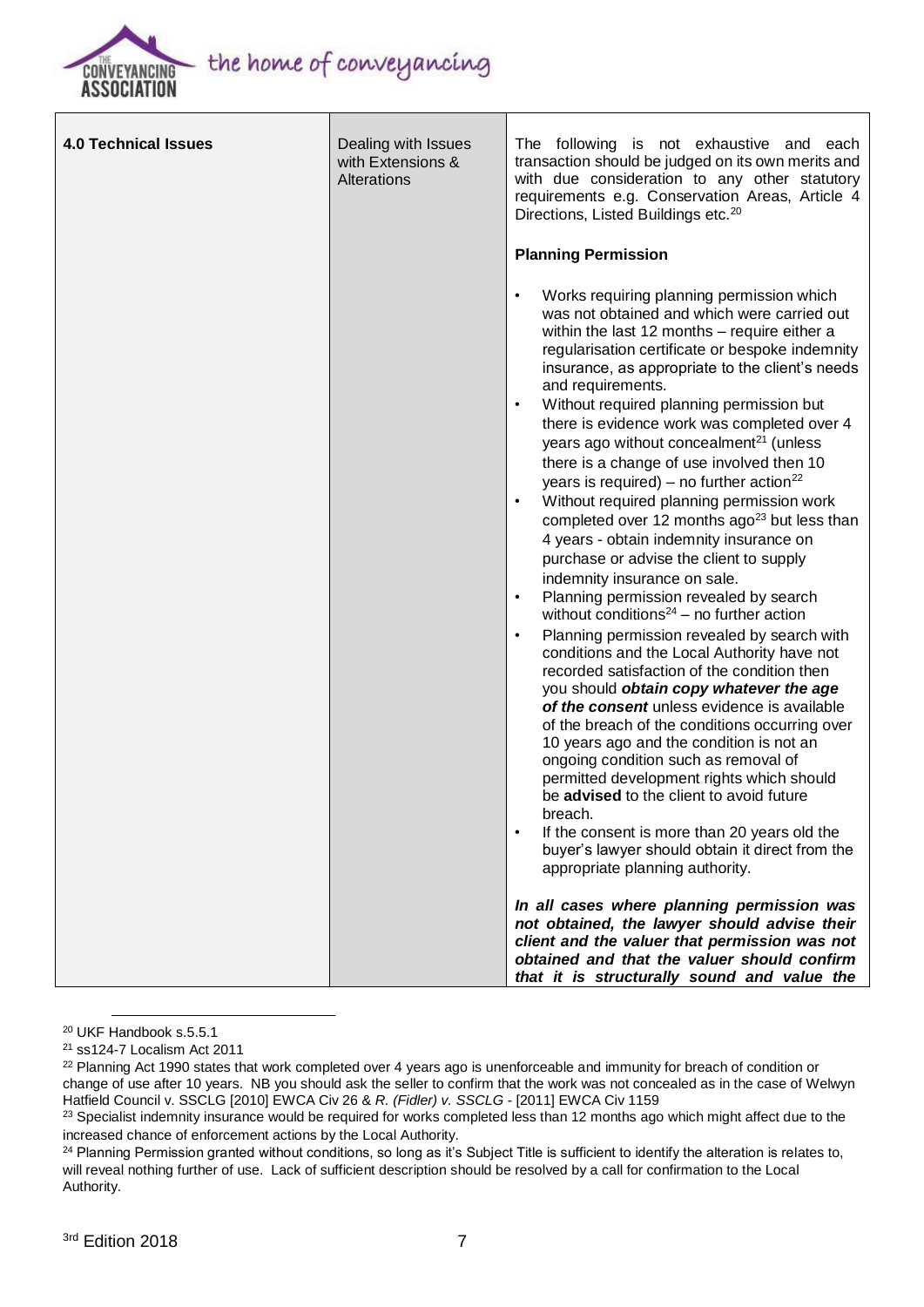

| <b>4.0 Technical Issues</b> | Dealing with Issues<br>with Extensions &<br>Alterations | The following is not exhaustive and each<br>transaction should be judged on its own merits and<br>with due consideration to any other statutory<br>requirements e.g. Conservation Areas, Article 4<br>Directions, Listed Buildings etc. <sup>20</sup><br><b>Planning Permission</b>                                                                                                                                                                                                                                                                                                                                                                                                                                                                                                                                                                                                                                                                                                                                                                                                                                                                                                                                                                                                                                                                                                                                                                                                                                                                                                                                                                                                                                                  |
|-----------------------------|---------------------------------------------------------|--------------------------------------------------------------------------------------------------------------------------------------------------------------------------------------------------------------------------------------------------------------------------------------------------------------------------------------------------------------------------------------------------------------------------------------------------------------------------------------------------------------------------------------------------------------------------------------------------------------------------------------------------------------------------------------------------------------------------------------------------------------------------------------------------------------------------------------------------------------------------------------------------------------------------------------------------------------------------------------------------------------------------------------------------------------------------------------------------------------------------------------------------------------------------------------------------------------------------------------------------------------------------------------------------------------------------------------------------------------------------------------------------------------------------------------------------------------------------------------------------------------------------------------------------------------------------------------------------------------------------------------------------------------------------------------------------------------------------------------|
|                             |                                                         | Works requiring planning permission which<br>$\bullet$<br>was not obtained and which were carried out<br>within the last 12 months - require either a<br>regularisation certificate or bespoke indemnity<br>insurance, as appropriate to the client's needs<br>and requirements.<br>Without required planning permission but<br>there is evidence work was completed over 4<br>years ago without concealment <sup>21</sup> (unless<br>there is a change of use involved then 10<br>years is required) – no further action <sup>22</sup><br>Without required planning permission work<br>$\bullet$<br>completed over 12 months ago <sup>23</sup> but less than<br>4 years - obtain indemnity insurance on<br>purchase or advise the client to supply<br>indemnity insurance on sale.<br>Planning permission revealed by search<br>$\bullet$<br>without conditions <sup>24</sup> – no further action<br>Planning permission revealed by search with<br>$\bullet$<br>conditions and the Local Authority have not<br>recorded satisfaction of the condition then<br>you should obtain copy whatever the age<br>of the consent unless evidence is available<br>of the breach of the conditions occurring over<br>10 years ago and the condition is not an<br>ongoing condition such as removal of<br>permitted development rights which should<br>be advised to the client to avoid future<br>breach.<br>If the consent is more than 20 years old the<br>buyer's lawyer should obtain it direct from the<br>appropriate planning authority.<br>In all cases where planning permission was<br>not obtained, the lawyer should advise their<br>client and the valuer that permission was not<br>obtained and that the valuer should confirm |
|                             |                                                         | that it is structurally sound and value the                                                                                                                                                                                                                                                                                                                                                                                                                                                                                                                                                                                                                                                                                                                                                                                                                                                                                                                                                                                                                                                                                                                                                                                                                                                                                                                                                                                                                                                                                                                                                                                                                                                                                          |

<sup>20</sup> UKF Handbook s.5.5.1

<sup>21</sup> ss124-7 Localism Act 2011

<sup>&</sup>lt;sup>22</sup> Planning Act 1990 states that work completed over 4 years ago is unenforceable and immunity for breach of condition or change of use after 10 years. NB you should ask the seller to confirm that the work was not concealed as in the case of Welwyn Hatfield Council v. SSCLG [2010] EWCA Civ 26 & *R. (Fidler) v. SSCLG* - [2011] EWCA Civ 1159

<sup>&</sup>lt;sup>23</sup> Specialist indemnity insurance would be required for works completed less than 12 months ago which might affect due to the increased chance of enforcement actions by the Local Authority.

<sup>&</sup>lt;sup>24</sup> Planning Permission granted without conditions, so long as it's Subject Title is sufficient to identify the alteration is relates to, will reveal nothing further of use. Lack of sufficient description should be resolved by a call for confirmation to the Local Authority.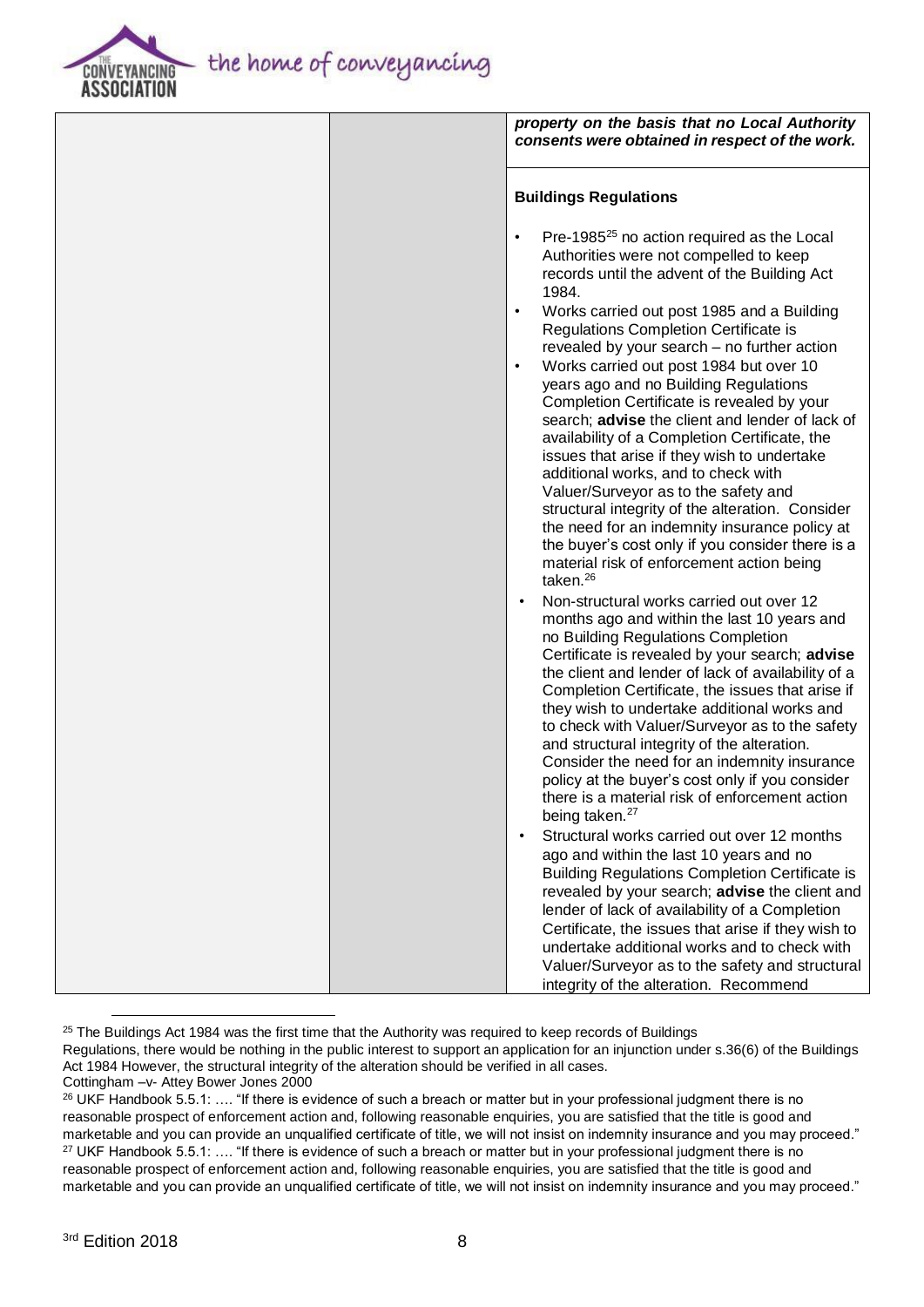the home of conveyancing



|  | property on the basis that no Local Authority<br>consents were obtained in respect of the work.                                                                                                                                                                                                                                                                                                                                                                                                                                                                                                                                                                                                                                                                                                                 |
|--|-----------------------------------------------------------------------------------------------------------------------------------------------------------------------------------------------------------------------------------------------------------------------------------------------------------------------------------------------------------------------------------------------------------------------------------------------------------------------------------------------------------------------------------------------------------------------------------------------------------------------------------------------------------------------------------------------------------------------------------------------------------------------------------------------------------------|
|  | <b>Buildings Regulations</b>                                                                                                                                                                                                                                                                                                                                                                                                                                                                                                                                                                                                                                                                                                                                                                                    |
|  | Pre-1985 <sup>25</sup> no action required as the Local<br>$\bullet$<br>Authorities were not compelled to keep<br>records until the advent of the Building Act<br>1984.<br>Works carried out post 1985 and a Building<br>$\bullet$<br>Regulations Completion Certificate is<br>revealed by your search - no further action<br>Works carried out post 1984 but over 10<br>$\bullet$<br>years ago and no Building Regulations<br>Completion Certificate is revealed by your<br>search; advise the client and lender of lack of<br>availability of a Completion Certificate, the<br>issues that arise if they wish to undertake<br>additional works, and to check with<br>Valuer/Surveyor as to the safety and<br>structural integrity of the alteration. Consider<br>the need for an indemnity insurance policy at |
|  | the buyer's cost only if you consider there is a<br>material risk of enforcement action being<br>taken. <sup>26</sup>                                                                                                                                                                                                                                                                                                                                                                                                                                                                                                                                                                                                                                                                                           |
|  | Non-structural works carried out over 12<br>months ago and within the last 10 years and<br>no Building Regulations Completion<br>Certificate is revealed by your search; advise<br>the client and lender of lack of availability of a<br>Completion Certificate, the issues that arise if<br>they wish to undertake additional works and<br>to check with Valuer/Surveyor as to the safety<br>and structural integrity of the alteration.<br>Consider the need for an indemnity insurance<br>policy at the buyer's cost only if you consider<br>there is a material risk of enforcement action<br>being taken. <sup>27</sup>                                                                                                                                                                                    |
|  | Structural works carried out over 12 months<br>ago and within the last 10 years and no<br><b>Building Regulations Completion Certificate is</b><br>revealed by your search; advise the client and<br>lender of lack of availability of a Completion<br>Certificate, the issues that arise if they wish to<br>undertake additional works and to check with<br>Valuer/Surveyor as to the safety and structural<br>integrity of the alteration. Recommend                                                                                                                                                                                                                                                                                                                                                          |

 $25$  The Buildings Act 1984 was the first time that the Authority was required to keep records of Buildings Regulations, there would be nothing in the public interest to support an application for an injunction under s.36(6) of the Buildings Act 1984 However, the structural integrity of the alteration should be verified in all cases. Cottingham –v- Attey Bower Jones 2000

<sup>&</sup>lt;sup>26</sup> UKF Handbook 5.5.1: .... "If there is evidence of such a breach or matter but in your professional judgment there is no reasonable prospect of enforcement action and, following reasonable enquiries, you are satisfied that the title is good and marketable and you can provide an unqualified certificate of title, we will not insist on indemnity insurance and you may proceed."  $27$  UKF Handbook 5.5.1: .... "If there is evidence of such a breach or matter but in your professional judgment there is no reasonable prospect of enforcement action and, following reasonable enquiries, you are satisfied that the title is good and marketable and you can provide an unqualified certificate of title, we will not insist on indemnity insurance and you may proceed."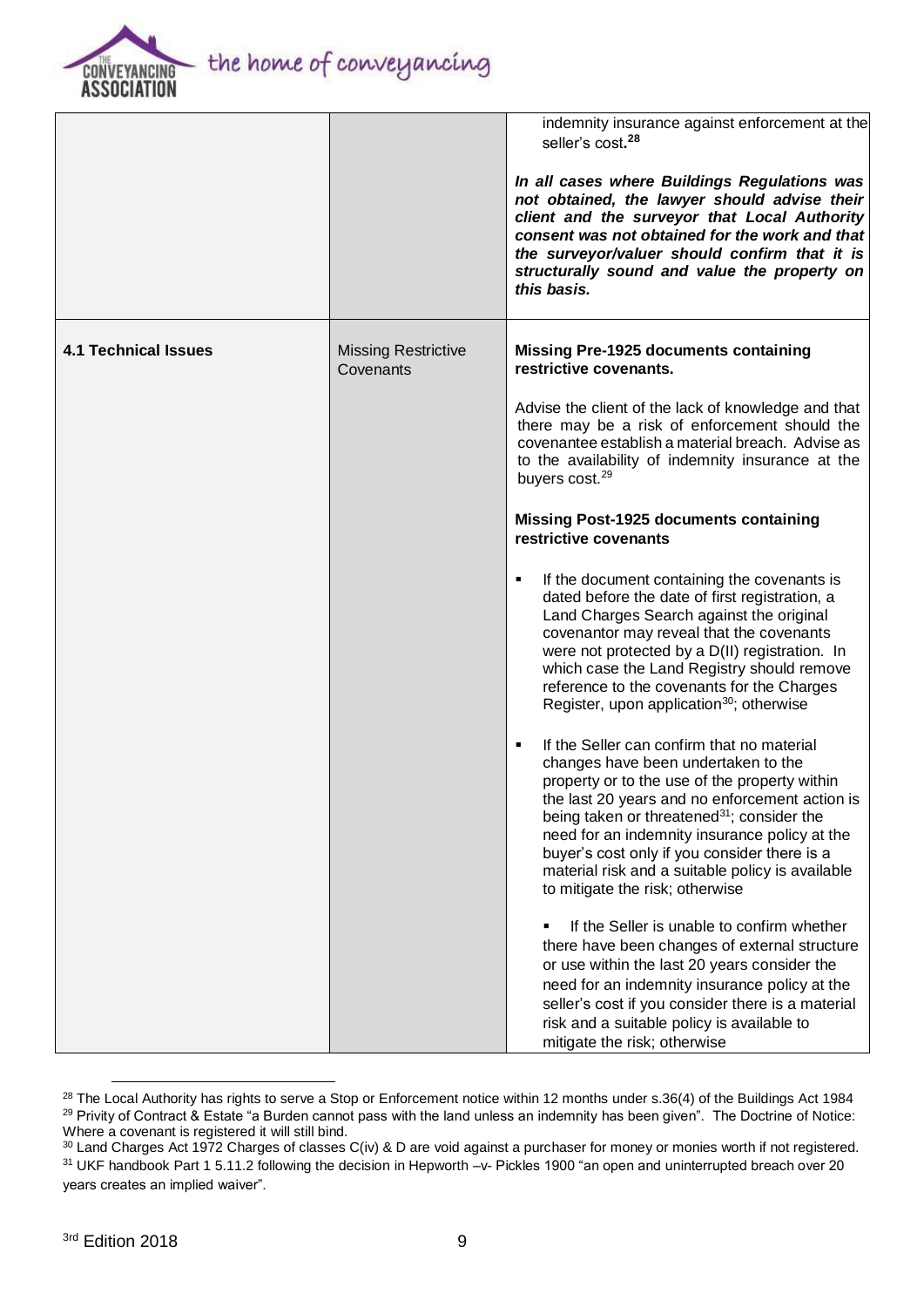

|                             |                                         | indemnity insurance against enforcement at the<br>seller's cost. <sup>28</sup>                                                                                                                                                                                                                                                                                                                                                                           |
|-----------------------------|-----------------------------------------|----------------------------------------------------------------------------------------------------------------------------------------------------------------------------------------------------------------------------------------------------------------------------------------------------------------------------------------------------------------------------------------------------------------------------------------------------------|
|                             |                                         | In all cases where Buildings Regulations was<br>not obtained, the lawyer should advise their<br>client and the surveyor that Local Authority<br>consent was not obtained for the work and that<br>the surveyor/valuer should confirm that it is<br>structurally sound and value the property on<br>this basis.                                                                                                                                           |
| <b>4.1 Technical Issues</b> | <b>Missing Restrictive</b><br>Covenants | <b>Missing Pre-1925 documents containing</b><br>restrictive covenants.                                                                                                                                                                                                                                                                                                                                                                                   |
|                             |                                         | Advise the client of the lack of knowledge and that<br>there may be a risk of enforcement should the<br>covenantee establish a material breach. Advise as<br>to the availability of indemnity insurance at the<br>buyers cost. <sup>29</sup>                                                                                                                                                                                                             |
|                             |                                         | <b>Missing Post-1925 documents containing</b><br>restrictive covenants                                                                                                                                                                                                                                                                                                                                                                                   |
|                             |                                         | If the document containing the covenants is<br>٠<br>dated before the date of first registration, a<br>Land Charges Search against the original<br>covenantor may reveal that the covenants<br>were not protected by a D(II) registration. In<br>which case the Land Registry should remove<br>reference to the covenants for the Charges<br>Register, upon application <sup>30</sup> ; otherwise                                                         |
|                             |                                         | If the Seller can confirm that no material<br>$\blacksquare$<br>changes have been undertaken to the<br>property or to the use of the property within<br>the last 20 years and no enforcement action is<br>being taken or threatened <sup>31</sup> ; consider the<br>need for an indemnity insurance policy at the<br>buyer's cost only if you consider there is a<br>material risk and a suitable policy is available<br>to mitigate the risk; otherwise |
|                             |                                         | If the Seller is unable to confirm whether<br>there have been changes of external structure<br>or use within the last 20 years consider the<br>need for an indemnity insurance policy at the<br>seller's cost if you consider there is a material<br>risk and a suitable policy is available to<br>mitigate the risk; otherwise                                                                                                                          |

<sup>&</sup>lt;sup>28</sup> The Local Authority has rights to serve a Stop or Enforcement notice within 12 months under s.36(4) of the Buildings Act 1984 <sup>29</sup> Privity of Contract & Estate "a Burden cannot pass with the land unless an indemnity has been given". The Doctrine of Notice: Where a covenant is registered it will still bind.

<sup>&</sup>lt;sup>30</sup> Land Charges Act 1972 Charges of classes C(iv) & D are void against a purchaser for money or monies worth if not registered. 31 UKF handbook Part 1 5.11.2 following the decision in Hepworth -v- Pickles 1900 "an open and uninterrupted breach over 20 years creates an implied waiver".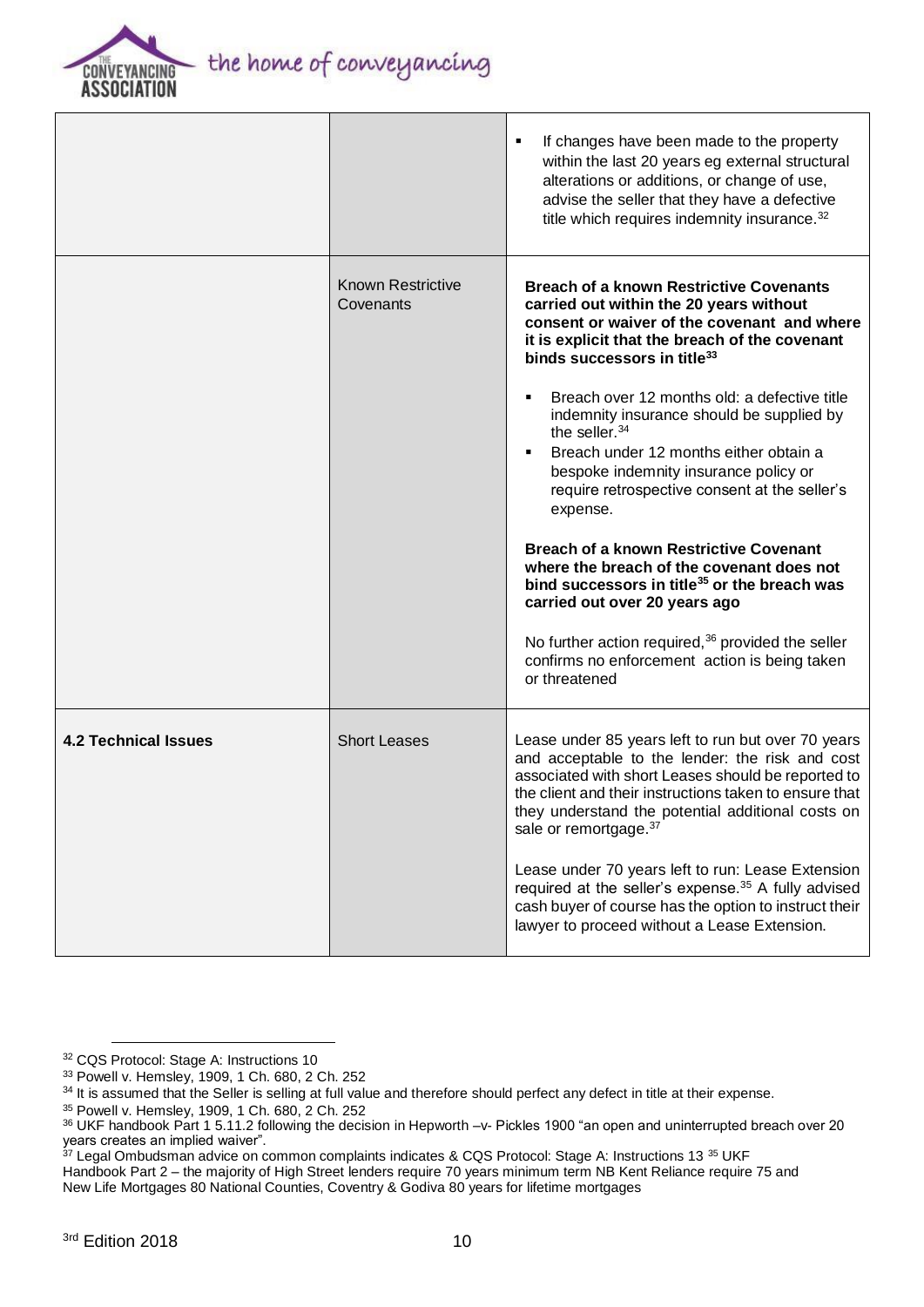

|                             |                                       | If changes have been made to the property<br>٠<br>within the last 20 years eg external structural<br>alterations or additions, or change of use,<br>advise the seller that they have a defective<br>title which requires indemnity insurance. <sup>32</sup>                                                                                                                                                                                                                                                                                                                                                                                                                                                                                                                                                                                    |
|-----------------------------|---------------------------------------|------------------------------------------------------------------------------------------------------------------------------------------------------------------------------------------------------------------------------------------------------------------------------------------------------------------------------------------------------------------------------------------------------------------------------------------------------------------------------------------------------------------------------------------------------------------------------------------------------------------------------------------------------------------------------------------------------------------------------------------------------------------------------------------------------------------------------------------------|
|                             | <b>Known Restrictive</b><br>Covenants | <b>Breach of a known Restrictive Covenants</b><br>carried out within the 20 years without<br>consent or waiver of the covenant and where<br>it is explicit that the breach of the covenant<br>binds successors in title <sup>33</sup><br>Breach over 12 months old: a defective title<br>٠<br>indemnity insurance should be supplied by<br>the seller. <sup>34</sup><br>Breach under 12 months either obtain a<br>٠<br>bespoke indemnity insurance policy or<br>require retrospective consent at the seller's<br>expense.<br><b>Breach of a known Restrictive Covenant</b><br>where the breach of the covenant does not<br>bind successors in title <sup>35</sup> or the breach was<br>carried out over 20 years ago<br>No further action required, $36$ provided the seller<br>confirms no enforcement action is being taken<br>or threatened |
| <b>4.2 Technical Issues</b> | <b>Short Leases</b>                   | Lease under 85 years left to run but over 70 years<br>and acceptable to the lender: the risk and cost<br>associated with short Leases should be reported to<br>the client and their instructions taken to ensure that<br>they understand the potential additional costs on<br>sale or remortgage. 37<br>Lease under 70 years left to run: Lease Extension<br>required at the seller's expense. <sup>35</sup> A fully advised<br>cash buyer of course has the option to instruct their<br>lawyer to proceed without a Lease Extension.                                                                                                                                                                                                                                                                                                          |

<sup>32</sup> CQS Protocol: Stage A: Instructions 10

<sup>33</sup> Powell v. Hemsley, 1909, 1 Ch. 680, 2 Ch. 252

<sup>34</sup> It is assumed that the Seller is selling at full value and therefore should perfect any defect in title at their expense.

<sup>35</sup> Powell v. Hemsley, 1909, 1 Ch. 680, 2 Ch. 252

<sup>36</sup> UKF handbook Part 1 5.11.2 following the decision in Hepworth -v- Pickles 1900 "an open and uninterrupted breach over 20 years creates an implied waiver".

 $37$  Legal Ombudsman advice on common complaints indicates & CQS Protocol: Stage A: Instructions 13  $35$  UKF

Handbook Part 2 – the majority of High Street lenders require 70 years minimum term NB Kent Reliance require 75 and New Life Mortgages 80 National Counties, Coventry & Godiva 80 years for lifetime mortgages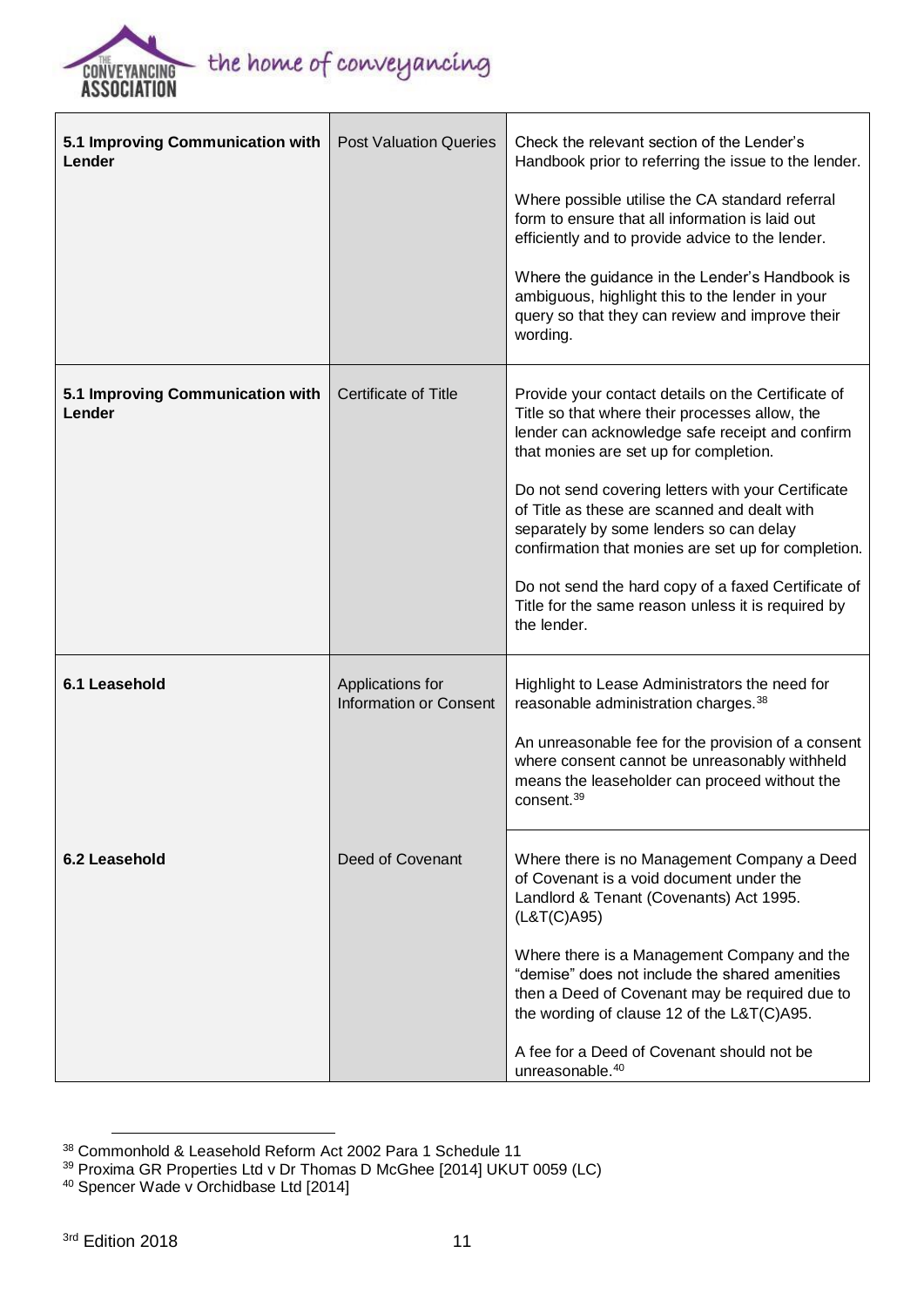

| 5.1 Improving Communication with<br>Lender | <b>Post Valuation Queries</b>                     | Check the relevant section of the Lender's<br>Handbook prior to referring the issue to the lender.<br>Where possible utilise the CA standard referral<br>form to ensure that all information is laid out<br>efficiently and to provide advice to the lender.<br>Where the guidance in the Lender's Handbook is<br>ambiguous, highlight this to the lender in your<br>query so that they can review and improve their<br>wording.                                                                                                      |
|--------------------------------------------|---------------------------------------------------|---------------------------------------------------------------------------------------------------------------------------------------------------------------------------------------------------------------------------------------------------------------------------------------------------------------------------------------------------------------------------------------------------------------------------------------------------------------------------------------------------------------------------------------|
| 5.1 Improving Communication with<br>Lender | <b>Certificate of Title</b>                       | Provide your contact details on the Certificate of<br>Title so that where their processes allow, the<br>lender can acknowledge safe receipt and confirm<br>that monies are set up for completion.<br>Do not send covering letters with your Certificate<br>of Title as these are scanned and dealt with<br>separately by some lenders so can delay<br>confirmation that monies are set up for completion.<br>Do not send the hard copy of a faxed Certificate of<br>Title for the same reason unless it is required by<br>the lender. |
| 6.1 Leasehold                              | Applications for<br><b>Information or Consent</b> | Highlight to Lease Administrators the need for<br>reasonable administration charges. <sup>38</sup><br>An unreasonable fee for the provision of a consent<br>where consent cannot be unreasonably withheld<br>means the leaseholder can proceed without the<br>consent. <sup>39</sup>                                                                                                                                                                                                                                                  |
| 6.2 Leasehold                              | Deed of Covenant                                  | Where there is no Management Company a Deed<br>of Covenant is a void document under the<br>Landlord & Tenant (Covenants) Act 1995.<br>(L&T(C)A95)<br>Where there is a Management Company and the<br>"demise" does not include the shared amenities<br>then a Deed of Covenant may be required due to<br>the wording of clause 12 of the L&T(C)A95.<br>A fee for a Deed of Covenant should not be<br>unreasonable. <sup>40</sup>                                                                                                       |

 $\overline{a}$ <sup>38</sup> Commonhold & Leasehold Reform Act 2002 Para 1 Schedule 11

<sup>&</sup>lt;sup>39</sup> Proxima GR [Properties](http://www.bailii.org/uk/cases/UKUT/LC/2014/59.html) Ltd v Dr Thomas D McGhee [2014] UKUT 0059 (LC)

<sup>&</sup>lt;sup>40</sup> Spencer Wade v Orchidbase Ltd [2014]